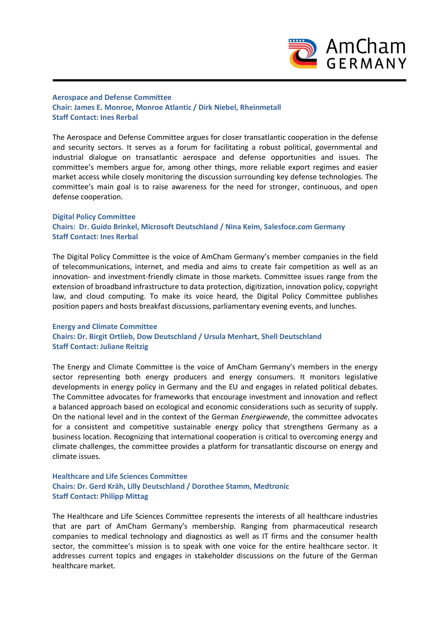

## **Aerospace and Defense Committee Chair: James E. Monroe, Monroe Atlantic / Dirk Niebel, Rheinmetall Staff Contact: Ines Rerbal**

The Aerospace and Defense Committee argues for closer transatlantic cooperation in the defense and security sectors. It serves as a forum for facilitating a robust political, governmental and industrial dialogue on transatlantic aerospace and defense opportunities and issues. The committee's members argue for, among other things, more reliable export regimes and easier market access while closely monitoring the discussion surrounding key defense technologies. The committee's main goal is to raise awareness for the need for stronger, continuous, and open defense cooperation.

## **Digital Policy Committee Chairs: Dr. Guido Brinkel, Microsoft Deutschland / Nina Keim, Salesfoce.com Germany Staff Contact: Ines Rerbal**

The Digital Policy Committee is the voice of AmCham Germany's member companies in the field of telecommunications, internet, and media and aims to create fair competition as well as an innovation- and investment-friendly climate in those markets. Committee issues range from the extension of broadband infrastructure to data protection, digitization, innovation policy, copyright law, and cloud computing. To make its voice heard, the Digital Policy Committee publishes position papers and hosts breakfast discussions, parliamentary evening events, and lunches.

## **Energy and Climate Committee Chairs: Dr. Birgit Ortlieb, Dow Deutschland / Ursula Menhart, Shell Deutschland Staff Contact: Juliane Reitzig**

The Energy and Climate Committee is the voice of AmCham Germany's members in the energy sector representing both energy producers and energy consumers. It monitors legislative developments in energy policy in Germany and the EU and engages in related political debates. The Committee advocates for frameworks that encourage investment and innovation and reflect a balanced approach based on ecological and economic considerations such as security of supply. On the national level and in the context of the German *Energiewende*, the committee advocates for a consistent and competitive sustainable energy policy that strengthens Germany as a business location. Recognizing that international cooperation is critical to overcoming energy and climate challenges, the committee provides a platform for transatlantic discourse on energy and climate issues.

## **Healthcare and Life Sciences Committee Chairs: Dr. Gerd Kräh, Lilly Deutschland / Dorothee Stamm, Medtronic Staff Contact: Philipp Mittag**

The Healthcare and Life Sciences Committee represents the interests of all healthcare industries that are part of AmCham Germany's membership. Ranging from pharmaceutical research companies to medical technology and diagnostics as well as IT firms and the consumer health sector, the committee's mission is to speak with one voice for the entire healthcare sector. It addresses current topics and engages in stakeholder discussions on the future of the German healthcare market.